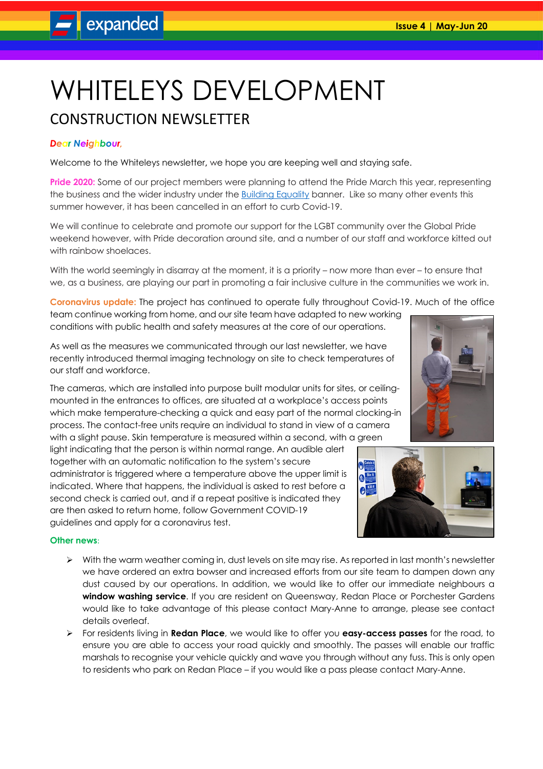# WHITELEYS DEVELOPMENT

# CONSTRUCTION NEWSLETTER

## *Dear Neighbour,*

Welcome to the Whiteleys newsletter**,** we hope you are keeping well and staying safe.

**Pride 2020:** Some of our project members were planning to attend the Pride March this year, representing the business and the wider industry under the **Building Equality banner.** Like so many other events this summer however, it has been cancelled in an effort to curb Covid-19.

We will continue to celebrate and promote our support for the LGBT community over the Global Pride weekend however, with Pride decoration around site, and a number of our staff and workforce kitted out with rainbow shoelaces.

With the world seemingly in disarray at the moment, it is a priority – now more than ever – to ensure that we, as a business, are playing our part in promoting a fair inclusive culture in the communities we work in.

**Coronavirus update:** The project has continued to operate fully throughout Covid-19. Much of the office team continue working from home, and our site team have adapted to new working conditions with public health and safety measures at the core of our operations.

As well as the measures we communicated through our last newsletter, we have recently introduced thermal imaging technology on site to check temperatures of our staff and workforce.

The cameras, which are installed into purpose built modular units for sites, or ceilingmounted in the entrances to offices, are situated at a workplace's access points which make temperature-checking a quick and easy part of the normal clocking-in process. The contact-free units require an individual to stand in view of a camera with a slight pause. Skin temperature is measured within a second, with a green

light indicating that the person is within normal range. An audible alert together with an automatic notification to the system's secure administrator is triggered where a temperature above the upper limit is indicated. Where that happens, the individual is asked to rest before a second check is carried out, and if a repeat positive is indicated they are then asked to return home, follow Government COVID-19 guidelines and apply for a coronavirus test.

### **Other news**:

- $\triangleright$  With the warm weather coming in, dust levels on site may rise. As reported in last month's newsletter we have ordered an extra bowser and increased efforts from our site team to dampen down any dust caused by our operations. In addition, we would like to offer our immediate neighbours a **window washing service**. If you are resident on Queensway, Redan Place or Porchester Gardens would like to take advantage of this please contact Mary-Anne to arrange, please see contact details overleaf.
- Ø For residents living in **Redan Place**, we would like to offer you **easy-access passes** for the road, to ensure you are able to access your road quickly and smoothly. The passes will enable our traffic marshals to recognise your vehicle quickly and wave you through without any fuss. This is only open to residents who park on Redan Place – if you would like a pass please contact Mary-Anne.